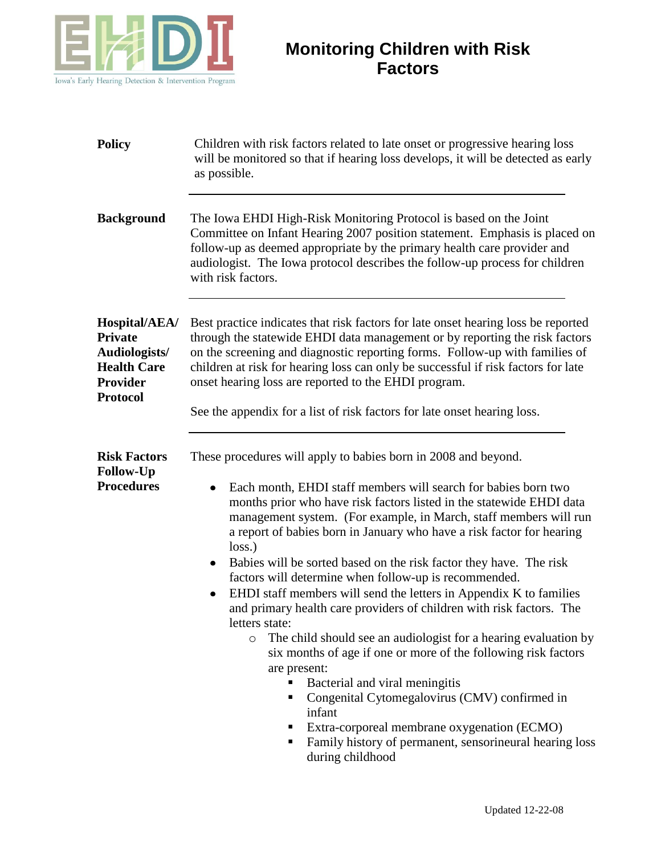

| <b>Policy</b>                                                                                                | Children with risk factors related to late onset or progressive hearing loss<br>will be monitored so that if hearing loss develops, it will be detected as early<br>as possible.                                                                                                                                                                                                                                                  |
|--------------------------------------------------------------------------------------------------------------|-----------------------------------------------------------------------------------------------------------------------------------------------------------------------------------------------------------------------------------------------------------------------------------------------------------------------------------------------------------------------------------------------------------------------------------|
| <b>Background</b>                                                                                            | The Iowa EHDI High-Risk Monitoring Protocol is based on the Joint<br>Committee on Infant Hearing 2007 position statement. Emphasis is placed on<br>follow-up as deemed appropriate by the primary health care provider and<br>audiologist. The Iowa protocol describes the follow-up process for children<br>with risk factors.                                                                                                   |
| Hospital/AEA/<br><b>Private</b><br>Audiologists/<br><b>Health Care</b><br><b>Provider</b><br><b>Protocol</b> | Best practice indicates that risk factors for late onset hearing loss be reported<br>through the statewide EHDI data management or by reporting the risk factors<br>on the screening and diagnostic reporting forms. Follow-up with families of<br>children at risk for hearing loss can only be successful if risk factors for late<br>onset hearing loss are reported to the EHDI program.                                      |
|                                                                                                              | See the appendix for a list of risk factors for late onset hearing loss.                                                                                                                                                                                                                                                                                                                                                          |
| <b>Risk Factors</b><br><b>Follow-Up</b>                                                                      | These procedures will apply to babies born in 2008 and beyond.                                                                                                                                                                                                                                                                                                                                                                    |
| <b>Procedures</b>                                                                                            | Each month, EHDI staff members will search for babies born two<br>٠<br>months prior who have risk factors listed in the statewide EHDI data<br>management system. (For example, in March, staff members will run<br>a report of babies born in January who have a risk factor for hearing<br>loss.<br>Babies will be sorted based on the risk factor they have. The risk<br>factors will determine when follow-up is recommended. |
|                                                                                                              | EHDI staff members will send the letters in Appendix K to families<br>and primary health care providers of children with risk factors. The<br>letters state:                                                                                                                                                                                                                                                                      |
|                                                                                                              | The child should see an audiologist for a hearing evaluation by<br>$\circ$<br>six months of age if one or more of the following risk factors<br>are present:                                                                                                                                                                                                                                                                      |
|                                                                                                              | Bacterial and viral meningitis<br>Congenital Cytomegalovirus (CMV) confirmed in<br>Е<br>infant<br>Extra-corporeal membrane oxygenation (ECMO)<br>Family history of permanent, sensorineural hearing loss<br>during childhood                                                                                                                                                                                                      |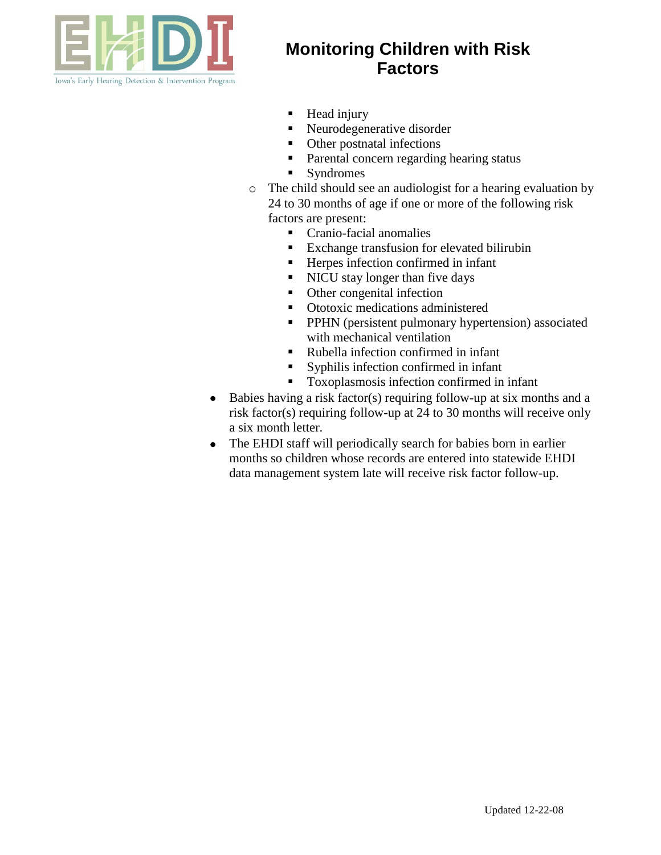

- **Head injury**
- Neurodegenerative disorder
- Other postnatal infections
- Parental concern regarding hearing status
- **Syndromes**
- o The child should see an audiologist for a hearing evaluation by 24 to 30 months of age if one or more of the following risk factors are present:
	- Cranio-facial anomalies
	- Exchange transfusion for elevated bilirubin
	- Herpes infection confirmed in infant
	- I NICU stay longer than five days
	- Other congenital infection
	- **•** Ototoxic medications administered
	- **PPHN** (persistent pulmonary hypertension) associated with mechanical ventilation
	- Rubella infection confirmed in infant
	- Syphilis infection confirmed in infant
	- Toxoplasmosis infection confirmed in infant
- Babies having a risk factor(s) requiring follow-up at six months and a risk factor(s) requiring follow-up at 24 to 30 months will receive only a six month letter.
- The EHDI staff will periodically search for babies born in earlier  $\bullet$ months so children whose records are entered into statewide EHDI data management system late will receive risk factor follow-up.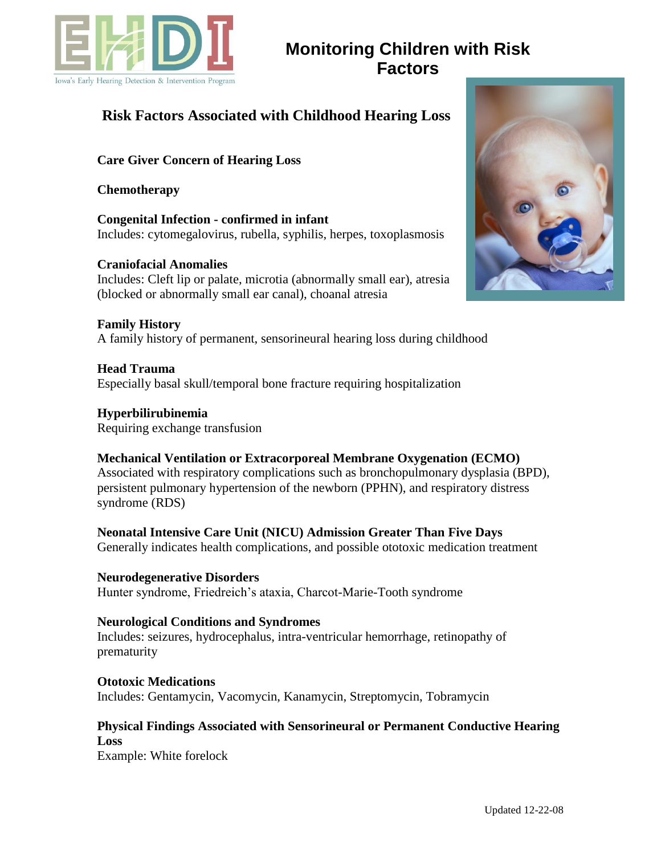

### **Risk Factors Associated with Childhood Hearing Loss**

### **Care Giver Concern of Hearing Loss**

#### **Chemotherapy**

**Congenital Infection - confirmed in infant** Includes: cytomegalovirus, rubella, syphilis, herpes, toxoplasmosis

**Craniofacial Anomalies**  Includes: Cleft lip or palate, microtia (abnormally small ear), atresia (blocked or abnormally small ear canal), choanal atresia

**Family History**  A family history of permanent, sensorineural hearing loss during childhood

**Head Trauma**  Especially basal skull/temporal bone fracture requiring hospitalization

**Hyperbilirubinemia**  Requiring exchange transfusion

### **Mechanical Ventilation or Extracorporeal Membrane Oxygenation (ECMO)**  Associated with respiratory complications such as bronchopulmonary dysplasia (BPD), persistent pulmonary hypertension of the newborn (PPHN), and respiratory distress syndrome (RDS)

**Neonatal Intensive Care Unit (NICU) Admission Greater Than Five Days**  Generally indicates health complications, and possible ototoxic medication treatment

**Neurodegenerative Disorders**  Hunter syndrome, Friedreich's ataxia, Charcot-Marie-Tooth syndrome

#### **Neurological Conditions and Syndromes**

Includes: seizures, hydrocephalus, intra-ventricular hemorrhage, retinopathy of prematurity

**Ototoxic Medications**  Includes: Gentamycin, Vacomycin, Kanamycin, Streptomycin, Tobramycin

### **Physical Findings Associated with Sensorineural or Permanent Conductive Hearing Loss**

Example: White forelock